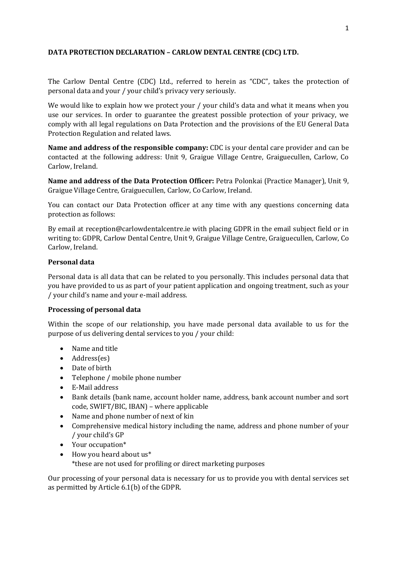## **DATA PROTECTION DECLARATION – CARLOW DENTAL CENTRE (CDC) LTD.**

The Carlow Dental Centre (CDC) Ltd., referred to herein as "CDC", takes the protection of personal data and your / your child's privacy very seriously.

We would like to explain how we protect your / your child's data and what it means when you use our services. In order to guarantee the greatest possible protection of your privacy, we comply with all legal regulations on Data Protection and the provisions of the EU General Data Protection Regulation and related laws.

**Name and address of the responsible company:** CDC is your dental care provider and can be contacted at the following address: Unit 9, Graigue Village Centre, Graiguecullen, Carlow, Co Carlow, Ireland.

**Name and address of the Data Protection Officer:** Petra Polonkai (Practice Manager), Unit 9, Graigue Village Centre, Graiguecullen, Carlow, Co Carlow, Ireland.

You can contact our Data Protection officer at any time with any questions concerning data protection as follows:

By email at [reception@carlowdentalcentre.ie](mailto:reception@carlowdentalcentre.ie) with placing GDPR in the email subject field or in writing to: GDPR, Carlow Dental Centre, Unit 9, Graigue Village Centre, Graiguecullen, Carlow, Co Carlow, Ireland.

### **Personal data**

Personal data is all data that can be related to you personally. This includes personal data that you have provided to us as part of your patient application and ongoing treatment, such as your / your child's name and your e-mail address.

### **Processing of personal data**

Within the scope of our relationship, you have made personal data available to us for the purpose of us delivering dental services to you / your child:

- Name and title
- Address(es)
- Date of birth
- Telephone / mobile phone number
- E-Mail address
- Bank details (bank name, account holder name, address, bank account number and sort code, SWIFT/BIC, IBAN) – where applicable
- Name and phone number of next of kin
- Comprehensive medical history including the name, address and phone number of your / your child's GP
- Your occupation\*
- How you heard about us\* \*these are not used for profiling or direct marketing purposes

Our processing of your personal data is necessary for us to provide you with dental services set as permitted by Article 6.1(b) of the GDPR.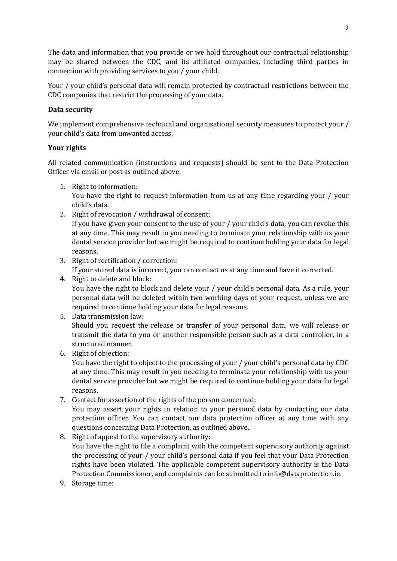The data and information that you provide or we hold throughout our contractual relationship may be shared between the CDC, and its affiliated companies, including third parties in connection with providing services to you / your child.

Your / your child's personal data will remain protected by contractual restrictions between the CDC companies that restrict the processing of your data.

# **Data security**

We implement comprehensive technical and organisational security measures to protect your / your child's data from unwanted access.

# **Your rights**

All related communication (instructions and requests) should be sent to the Data Protection Officer via email or post as outlined above.

- 1. Right to information: You have the right to request information from us at any time regarding your / your child's data.
- 2. Right of revocation / withdrawal of consent:

If you have given your consent to the use of your / your child's data, you can revoke this at any time. This may result in you needing to terminate your relationship with us your dental service provider but we might be required to continue holding your data for legal reasons.

- 3. Right of rectification / correction: If your stored data is incorrect, you can contact us at any time and have it corrected.
- 4. Right to delete and block: You have the right to block and delete your / your child's personal data. As a rule, your personal data will be deleted within two working days of your request, unless we are required to continue holding your data for legal reasons.
- 5. Data transmission law:

Should you request the release or transfer of your personal data, we will release or transmit the data to you or another responsible person such as a data controller, in a structured manner.

6. Right of objection:

You have the right to object to the processing of your / your child's personal data by CDC at any time. This may result in you needing to terminate your relationship with us your dental service provider but we might be required to continue holding your data for legal reasons.

7. Contact for assertion of the rights of the person concerned:

You may assert your rights in relation to your personal data by contacting our data protection officer. You can contact our data protection officer at any time with any questions concerning Data Protection, as outlined above.

- 8. Right of appeal to the supervisory authority: You have the right to file a complaint with the competent supervisory authority against the processing of your / your child's personal data if you feel that your Data Protection rights have been violated. The applicable competent supervisory authority is the Data Protection Commissioner, and complaints can be submitted t[o info@dataprotection.ie.](mailto:info@dataprotection.ie)
- 9. Storage time: